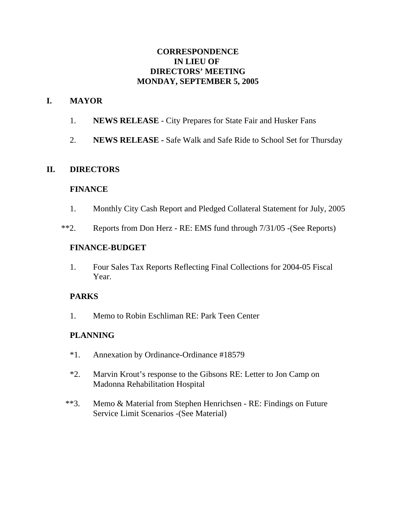### **CORRESPONDENCE IN LIEU OF DIRECTORS' MEETING MONDAY, SEPTEMBER 5, 2005**

### **I. MAYOR**

- 1. **NEWS RELEASE** City Prepares for State Fair and Husker Fans
- 2. **NEWS RELEASE** Safe Walk and Safe Ride to School Set for Thursday

### **II. DIRECTORS**

#### **FINANCE**

- 1. Monthly City Cash Report and Pledged Collateral Statement for July, 2005
- \*\*2. Reports from Don Herz RE: EMS fund through 7/31/05 -(See Reports)

#### **FINANCE-BUDGET**

1. Four Sales Tax Reports Reflecting Final Collections for 2004-05 Fiscal Year.

### **PARKS**

1. Memo to Robin Eschliman RE: Park Teen Center

### **PLANNING**

- \*1. Annexation by Ordinance-Ordinance #18579
- \*2. Marvin Krout's response to the Gibsons RE: Letter to Jon Camp on Madonna Rehabilitation Hospital
- \*\*3. Memo & Material from Stephen Henrichsen RE: Findings on Future Service Limit Scenarios -(See Material)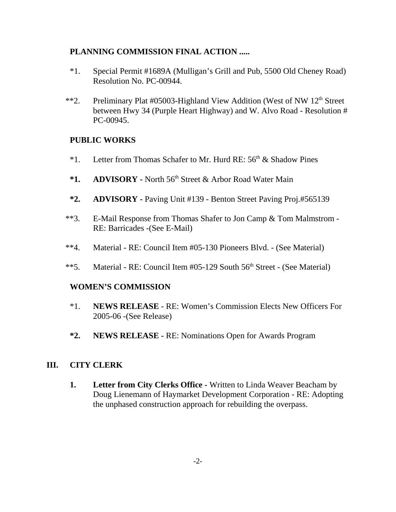### **PLANNING COMMISSION FINAL ACTION .....**

- \*1. Special Permit #1689A (Mulligan's Grill and Pub, 5500 Old Cheney Road) Resolution No. PC-00944.
- \*\*2. Preliminary Plat #05003-Highland View Addition (West of NW 12<sup>th</sup> Street between Hwy 34 (Purple Heart Highway) and W. Alvo Road - Resolution # PC-00945.

### **PUBLIC WORKS**

- <sup>\*1</sup>. Letter from Thomas Schafer to Mr. Hurd RE:  $56<sup>th</sup>$  & Shadow Pines
- \*1. ADVISORY North 56<sup>th</sup> Street & Arbor Road Water Main
- **\*2. ADVISORY** Paving Unit #139 Benton Street Paving Proj.#565139
- \*\*3. E-Mail Response from Thomas Shafer to Jon Camp & Tom Malmstrom RE: Barricades -(See E-Mail)
- \*\*4. Material RE: Council Item #05-130 Pioneers Blvd. (See Material)
- \*\*5. Material RE: Council Item  $\#05$ -129 South  $56<sup>th</sup>$  Street (See Material)

### **WOMEN'S COMMISSION**

- \*1. **NEWS RELEASE**  RE: Women's Commission Elects New Officers For 2005-06 -(See Release)
- **\*2. NEWS RELEASE -** RE: Nominations Open for Awards Program

### **III. CITY CLERK**

**1. Letter from City Clerks Office -** Written to Linda Weaver Beacham by Doug Lienemann of Haymarket Development Corporation - RE: Adopting the unphased construction approach for rebuilding the overpass.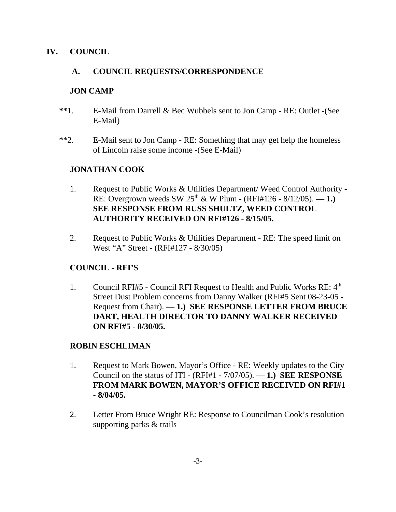### **IV. COUNCIL**

# **A. COUNCIL REQUESTS/CORRESPONDENCE**

### **JON CAMP**

- **\*\***1. E-Mail from Darrell & Bec Wubbels sent to Jon Camp RE: Outlet -(See E-Mail)
- \*\*2. E-Mail sent to Jon Camp RE: Something that may get help the homeless of Lincoln raise some income -(See E-Mail)

# **JONATHAN COOK**

- 1. Request to Public Works & Utilities Department/ Weed Control Authority RE: Overgrown weeds SW  $25^{th}$  & W Plum - (RFI#126 - 8/12/05). — 1.) **SEE RESPONSE FROM RUSS SHULTZ, WEED CONTROL AUTHORITY RECEIVED ON RFI#126 - 8/15/05.**
- 2. Request to Public Works & Utilities Department RE: The speed limit on West "A" Street - (RFI#127 - 8/30/05)

# **COUNCIL - RFI'S**

1. Council RFI#5 - Council RFI Request to Health and Public Works RE:  $4<sup>th</sup>$ Street Dust Problem concerns from Danny Walker (RFI#5 Sent 08-23-05 - Request from Chair). — **1.) SEE RESPONSE LETTER FROM BRUCE DART, HEALTH DIRECTOR TO DANNY WALKER RECEIVED ON RFI#5 - 8/30/05.** 

### **ROBIN ESCHLIMAN**

- 1. Request to Mark Bowen, Mayor's Office RE: Weekly updates to the City Council on the status of ITI - (RFI#1 - 7/07/05). — **1.) SEE RESPONSE FROM MARK BOWEN, MAYOR'S OFFICE RECEIVED ON RFI#1 - 8/04/05.**
- 2. Letter From Bruce Wright RE: Response to Councilman Cook's resolution supporting parks & trails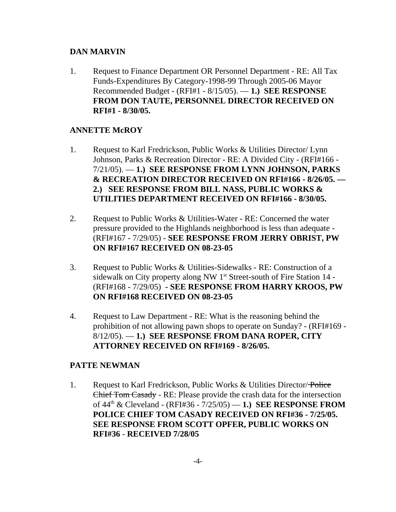### **DAN MARVIN**

1. Request to Finance Department OR Personnel Department - RE: All Tax Funds-Expenditures By Category-1998-99 Through 2005-06 Mayor Recommended Budget - (RFI#1 - 8/15/05). — **1.) SEE RESPONSE FROM DON TAUTE, PERSONNEL DIRECTOR RECEIVED ON RFI#1 - 8/30/05.**

# **ANNETTE McROY**

- 1. Request to Karl Fredrickson, Public Works & Utilities Director/ Lynn Johnson, Parks & Recreation Director - RE: A Divided City - (RFI#166 - 7/21/05). — **1.) SEE RESPONSE FROM LYNN JOHNSON, PARKS & RECREATION DIRECTOR RECEIVED ON RFI#166 - 8/26/05. — 2.) SEE RESPONSE FROM BILL NASS, PUBLIC WORKS & UTILITIES DEPARTMENT RECEIVED ON RFI#166 - 8/30/05.**
- 2. Request to Public Works & Utilities-Water RE: Concerned the water pressure provided to the Highlands neighborhood is less than adequate - (RFI#167 - 7/29/05) - **SEE RESPONSE FROM JERRY OBRIST, PW ON RFI#167 RECEIVED ON 08-23-05**
- 3. Request to Public Works & Utilities-Sidewalks RE: Construction of a sidewalk on City property along NW  $1<sup>st</sup>$  Street-south of Fire Station 14 -(RFI#168 - 7/29/05) **- SEE RESPONSE FROM HARRY KROOS, PW ON RFI#168 RECEIVED ON 08-23-05**
- 4. Request to Law Department RE: What is the reasoning behind the prohibition of not allowing pawn shops to operate on Sunday? - (RFI#169 - 8/12/05). — **1.) SEE RESPONSE FROM DANA ROPER, CITY ATTORNEY RECEIVED ON RFI#169 - 8/26/05.**

### **PATTE NEWMAN**

1. Request to Karl Fredrickson, Public Works & Utilities Director/Police Chief Tom Casady - RE: Please provide the crash data for the intersection of 44th & Cleveland - (RFI#36 - 7/25/05) — **1.) SEE RESPONSE FROM POLICE CHIEF TOM CASADY RECEIVED ON RFI#36 - 7/25/05. SEE RESPONSE FROM SCOTT OPFER, PUBLIC WORKS ON RFI#36** - **RECEIVED 7/28/05**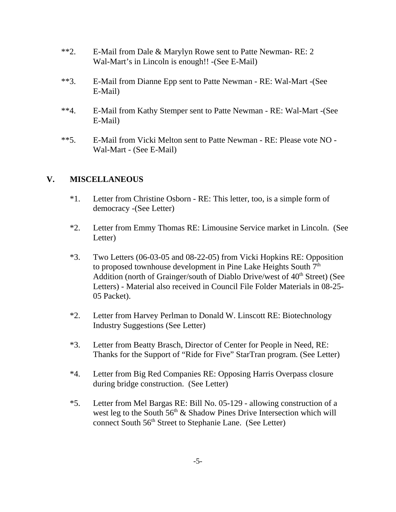- \*\*2. E-Mail from Dale & Marylyn Rowe sent to Patte Newman- RE: 2 Wal-Mart's in Lincoln is enough!! -(See E-Mail)
- \*\*3. E-Mail from Dianne Epp sent to Patte Newman RE: Wal-Mart -(See E-Mail)
- \*\*4. E-Mail from Kathy Stemper sent to Patte Newman RE: Wal-Mart -(See E-Mail)
- \*\*5. E-Mail from Vicki Melton sent to Patte Newman RE: Please vote NO Wal-Mart - (See E-Mail)

# **V. MISCELLANEOUS**

- \*1. Letter from Christine Osborn RE: This letter, too, is a simple form of democracy -(See Letter)
- \*2. Letter from Emmy Thomas RE: Limousine Service market in Lincoln. (See Letter)
- \*3. Two Letters (06-03-05 and 08-22-05) from Vicki Hopkins RE: Opposition to proposed townhouse development in Pine Lake Heights South  $7<sup>th</sup>$ Addition (north of Grainger/south of Diablo Drive/west of  $40<sup>th</sup>$  Street) (See Letters) - Material also received in Council File Folder Materials in 08-25- 05 Packet).
- \*2. Letter from Harvey Perlman to Donald W. Linscott RE: Biotechnology Industry Suggestions (See Letter)
- \*3. Letter from Beatty Brasch, Director of Center for People in Need, RE: Thanks for the Support of "Ride for Five" StarTran program. (See Letter)
- \*4. Letter from Big Red Companies RE: Opposing Harris Overpass closure during bridge construction. (See Letter)
- \*5. Letter from Mel Bargas RE: Bill No. 05-129 allowing construction of a west leg to the South  $56<sup>th</sup>$  & Shadow Pines Drive Intersection which will connect South 56<sup>th</sup> Street to Stephanie Lane. (See Letter)